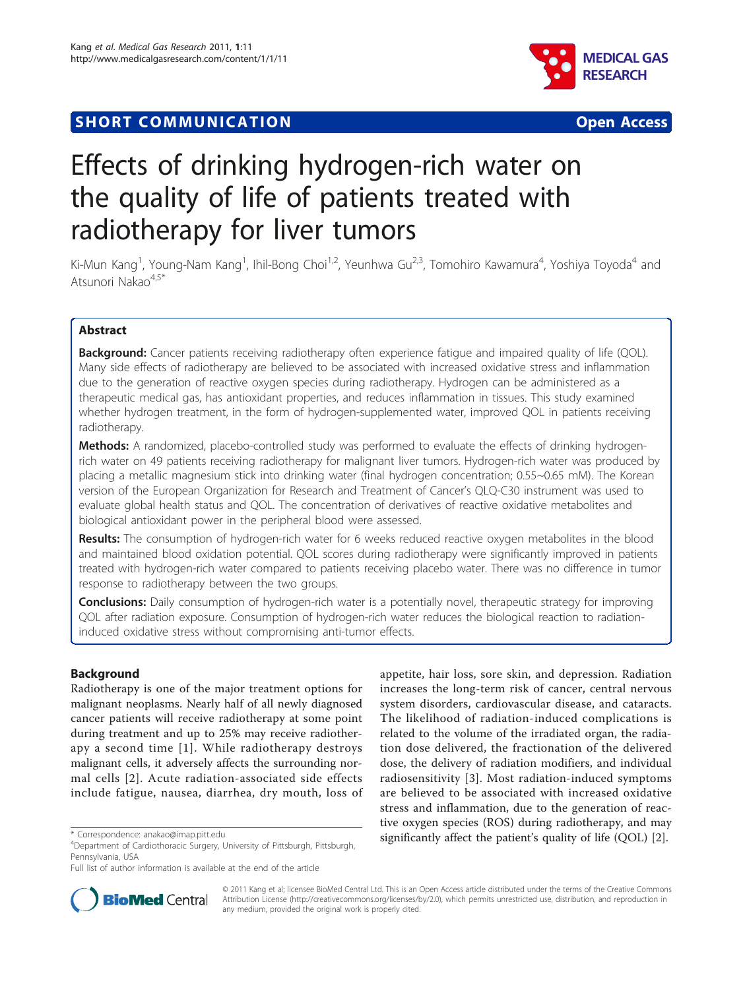## **SHORT COMMUNICATION COMMUNICATION**



# Effects of drinking hydrogen-rich water on the quality of life of patients treated with radiotherapy for liver tumors

Ki-Mun Kang<sup>1</sup>, Young-Nam Kang<sup>1</sup>, Ihil-Bong Choi<sup>1,2</sup>, Yeunhwa Gu<sup>2,3</sup>, Tomohiro Kawamura<sup>4</sup>, Yoshiya Toyoda<sup>4</sup> and Atsunori Nakao<sup>4,5\*</sup>

## Abstract

**Background:** Cancer patients receiving radiotherapy often experience fatigue and impaired quality of life (QOL). Many side effects of radiotherapy are believed to be associated with increased oxidative stress and inflammation due to the generation of reactive oxygen species during radiotherapy. Hydrogen can be administered as a therapeutic medical gas, has antioxidant properties, and reduces inflammation in tissues. This study examined whether hydrogen treatment, in the form of hydrogen-supplemented water, improved QOL in patients receiving radiotherapy.

Methods: A randomized, placebo-controlled study was performed to evaluate the effects of drinking hydrogenrich water on 49 patients receiving radiotherapy for malignant liver tumors. Hydrogen-rich water was produced by placing a metallic magnesium stick into drinking water (final hydrogen concentration; 0.55~0.65 mM). The Korean version of the European Organization for Research and Treatment of Cancer's QLQ-C30 instrument was used to evaluate global health status and QOL. The concentration of derivatives of reactive oxidative metabolites and biological antioxidant power in the peripheral blood were assessed.

Results: The consumption of hydrogen-rich water for 6 weeks reduced reactive oxygen metabolites in the blood and maintained blood oxidation potential. QOL scores during radiotherapy were significantly improved in patients treated with hydrogen-rich water compared to patients receiving placebo water. There was no difference in tumor response to radiotherapy between the two groups.

**Conclusions:** Daily consumption of hydrogen-rich water is a potentially novel, therapeutic strategy for improving QOL after radiation exposure. Consumption of hydrogen-rich water reduces the biological reaction to radiationinduced oxidative stress without compromising anti-tumor effects.

## Background

Radiotherapy is one of the major treatment options for malignant neoplasms. Nearly half of all newly diagnosed cancer patients will receive radiotherapy at some point during treatment and up to 25% may receive radiotherapy a second time [[1](#page-7-0)]. While radiotherapy destroys malignant cells, it adversely affects the surrounding normal cells [[2\]](#page-7-0). Acute radiation-associated side effects include fatigue, nausea, diarrhea, dry mouth, loss of

appetite, hair loss, sore skin, and depression. Radiation increases the long-term risk of cancer, central nervous system disorders, cardiovascular disease, and cataracts. The likelihood of radiation-induced complications is related to the volume of the irradiated organ, the radiation dose delivered, the fractionation of the delivered dose, the delivery of radiation modifiers, and individual radiosensitivity [[3](#page-7-0)]. Most radiation-induced symptoms are believed to be associated with increased oxidative stress and inflammation, due to the generation of reactive oxygen species (ROS) during radiotherapy, and may significantly affect the patient's quality of life (QOL) [[2\]](#page-7-0). \* Correspondence: [anakao@imap.pitt.edu](mailto:anakao@imap.pitt.edu)



© 2011 Kang et al; licensee BioMed Central Ltd. This is an Open Access article distributed under the terms of the Creative Commons Attribution License [\(http://creativecommons.org/licenses/by/2.0](http://creativecommons.org/licenses/by/2.0)), which permits unrestricted use, distribution, and reproduction in any medium, provided the original work is properly cited.

<sup>4</sup> Department of Cardiothoracic Surgery, University of Pittsburgh, Pittsburgh, Pennsylvania, USA

Full list of author information is available at the end of the article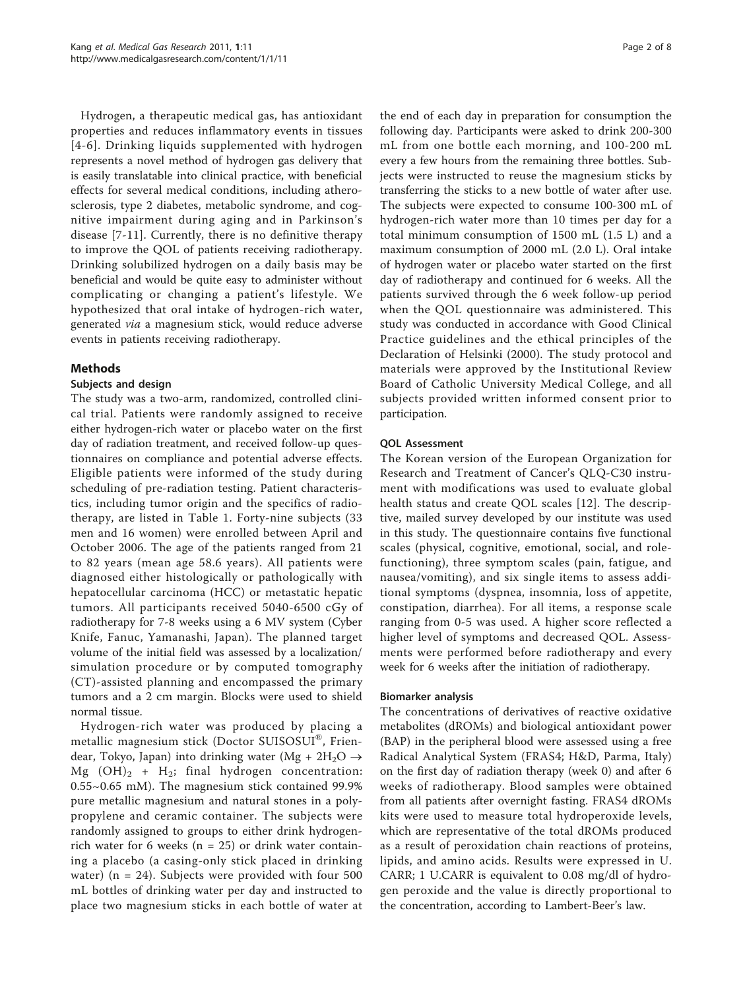Hydrogen, a therapeutic medical gas, has antioxidant properties and reduces inflammatory events in tissues [[4-6\]](#page-7-0). Drinking liquids supplemented with hydrogen represents a novel method of hydrogen gas delivery that is easily translatable into clinical practice, with beneficial effects for several medical conditions, including atherosclerosis, type 2 diabetes, metabolic syndrome, and cognitive impairment during aging and in Parkinson's disease [[7](#page-7-0)-[11\]](#page-7-0). Currently, there is no definitive therapy to improve the QOL of patients receiving radiotherapy. Drinking solubilized hydrogen on a daily basis may be beneficial and would be quite easy to administer without complicating or changing a patient's lifestyle. We hypothesized that oral intake of hydrogen-rich water, generated via a magnesium stick, would reduce adverse events in patients receiving radiotherapy.

## Methods

## Subjects and design

The study was a two-arm, randomized, controlled clinical trial. Patients were randomly assigned to receive either hydrogen-rich water or placebo water on the first day of radiation treatment, and received follow-up questionnaires on compliance and potential adverse effects. Eligible patients were informed of the study during scheduling of pre-radiation testing. Patient characteristics, including tumor origin and the specifics of radiotherapy, are listed in Table [1.](#page-2-0) Forty-nine subjects (33 men and 16 women) were enrolled between April and October 2006. The age of the patients ranged from 21 to 82 years (mean age 58.6 years). All patients were diagnosed either histologically or pathologically with hepatocellular carcinoma (HCC) or metastatic hepatic tumors. All participants received 5040-6500 cGy of radiotherapy for 7-8 weeks using a 6 MV system (Cyber Knife, Fanuc, Yamanashi, Japan). The planned target volume of the initial field was assessed by a localization/ simulation procedure or by computed tomography (CT)-assisted planning and encompassed the primary tumors and a 2 cm margin. Blocks were used to shield normal tissue.

Hydrogen-rich water was produced by placing a metallic magnesium stick (Doctor SUISOSUI®, Friendear, Tokyo, Japan) into drinking water (Mg +  $2H_2O \rightarrow$ Mg  $(OH)_2$  + H<sub>2</sub>; final hydrogen concentration: 0.55~0.65 mM). The magnesium stick contained 99.9% pure metallic magnesium and natural stones in a polypropylene and ceramic container. The subjects were randomly assigned to groups to either drink hydrogenrich water for 6 weeks ( $n = 25$ ) or drink water containing a placebo (a casing-only stick placed in drinking water) ( $n = 24$ ). Subjects were provided with four 500 mL bottles of drinking water per day and instructed to place two magnesium sticks in each bottle of water at

the end of each day in preparation for consumption the following day. Participants were asked to drink 200-300 mL from one bottle each morning, and 100-200 mL every a few hours from the remaining three bottles. Subjects were instructed to reuse the magnesium sticks by transferring the sticks to a new bottle of water after use. The subjects were expected to consume 100-300 mL of hydrogen-rich water more than 10 times per day for a total minimum consumption of 1500 mL (1.5 L) and a maximum consumption of 2000 mL (2.0 L). Oral intake of hydrogen water or placebo water started on the first day of radiotherapy and continued for 6 weeks. All the patients survived through the 6 week follow-up period when the QOL questionnaire was administered. This study was conducted in accordance with Good Clinical Practice guidelines and the ethical principles of the Declaration of Helsinki (2000). The study protocol and materials were approved by the Institutional Review Board of Catholic University Medical College, and all subjects provided written informed consent prior to participation.

## QOL Assessment

The Korean version of the European Organization for Research and Treatment of Cancer's QLQ-C30 instrument with modifications was used to evaluate global health status and create QOL scales [\[12\]](#page-7-0). The descriptive, mailed survey developed by our institute was used in this study. The questionnaire contains five functional scales (physical, cognitive, emotional, social, and rolefunctioning), three symptom scales (pain, fatigue, and nausea/vomiting), and six single items to assess additional symptoms (dyspnea, insomnia, loss of appetite, constipation, diarrhea). For all items, a response scale ranging from 0-5 was used. A higher score reflected a higher level of symptoms and decreased QOL. Assessments were performed before radiotherapy and every week for 6 weeks after the initiation of radiotherapy.

#### Biomarker analysis

The concentrations of derivatives of reactive oxidative metabolites (dROMs) and biological antioxidant power (BAP) in the peripheral blood were assessed using a free Radical Analytical System (FRAS4; H&D, Parma, Italy) on the first day of radiation therapy (week 0) and after 6 weeks of radiotherapy. Blood samples were obtained from all patients after overnight fasting. FRAS4 dROMs kits were used to measure total hydroperoxide levels, which are representative of the total dROMs produced as a result of peroxidation chain reactions of proteins, lipids, and amino acids. Results were expressed in U. CARR; 1 U.CARR is equivalent to 0.08 mg/dl of hydrogen peroxide and the value is directly proportional to the concentration, according to Lambert-Beer's law.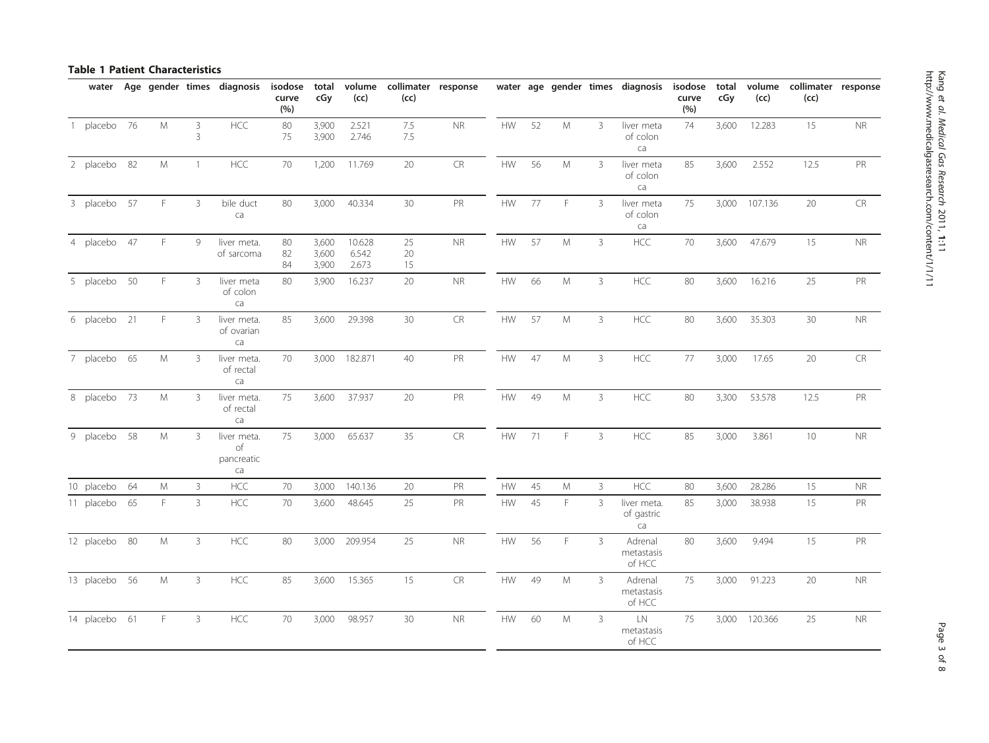## <span id="page-2-0"></span>Table 1 Patient Characteristics

| water         |    |    |                     | Age gender times diagnosis            | isodose<br>curve<br>(%) | total<br>cGy            | (cc)                     | volume collimater response<br>(cc) |            |            |    |               |                | water age gender times diagnosis      | isodose<br>curve<br>(%) | total<br>cGy | volume<br>(cc) | collimater response<br>(cc) |            |
|---------------|----|----|---------------------|---------------------------------------|-------------------------|-------------------------|--------------------------|------------------------------------|------------|------------|----|---------------|----------------|---------------------------------------|-------------------------|--------------|----------------|-----------------------------|------------|
| 1 placebo 76  |    | M  | 3<br>$\overline{3}$ | <b>HCC</b>                            | 80<br>75                | 3,900<br>3,900          | 2.521<br>2.746           | 7.5<br>7.5                         | <b>NR</b>  | <b>HW</b>  | 52 | M             | 3              | liver meta<br>of colon<br>ca          | 74                      | 3,600        | 12.283         | 15                          | <b>NR</b>  |
| 2 placebo 82  |    | M  | $\overline{1}$      | HCC                                   | 70                      | 1,200                   | 11.769                   | 20                                 | ${\sf CR}$ | HW         | 56 | ${\sf M}$     | 3              | liver meta<br>of colon<br>ca          | 85                      | 3,600        | 2.552          | 12.5                        | PR         |
| 3 placebo 57  |    | F. | 3                   | bile duct<br>ca                       | 80                      | 3,000                   | 40.334                   | $30\,$                             | PR         | <b>HW</b>  | 77 | F             | 3              | liver meta<br>of colon<br>ca          | 75                      | 3,000        | 107.136        | 20                          | ${\sf CR}$ |
| 4 placebo 47  |    | F. | 9                   | liver meta.<br>of sarcoma             | 80<br>82<br>84          | 3,600<br>3,600<br>3,900 | 10.628<br>6.542<br>2.673 | 25<br>20<br>15                     | $\sf NR$   | <b>HW</b>  | 57 | M             | 3              | HCC                                   | 70                      | 3,600        | 47.679         | 15                          | <b>NR</b>  |
| 5 placebo 50  |    | F. | 3                   | liver meta<br>of colon<br>ca          | 80                      | 3,900                   | 16.237                   | 20                                 | $\sf NR$   | ${\sf HW}$ | 66 | ${\mathsf M}$ | 3              | $\sf HCC$                             | 80                      | 3,600        | 16.216         | 25                          | PR         |
| 6 placebo 21  |    | F. | 3                   | liver meta.<br>of ovarian<br>ca       | 85                      | 3,600                   | 29.398                   | 30                                 | ${\sf CR}$ | HW         | 57 | ${\sf M}$     | $\mathbf{3}$   | HCC                                   | 80                      | 3,600        | 35.303         | 30                          | $\sf NR$   |
| 7 placebo 65  |    | M  | 3                   | liver meta.<br>of rectal<br>ca        | 70                      |                         | 3,000 182.871            | 40                                 | PR         | HW         | 47 | M             | 3              | HCC                                   | 77                      | 3,000        | 17.65          | 20                          | ${\sf CR}$ |
| 8 placebo 73  |    | M  | 3                   | liver meta.<br>of rectal<br>ca        | 75                      | 3,600                   | 37.937                   | 20                                 | PR         | ${\sf HW}$ | 49 | ${\mathsf M}$ | 3              | <b>HCC</b>                            | 80                      | 3,300        | 53.578         | 12.5                        | PR         |
| 9 placebo 58  |    | M  | 3                   | liver meta.<br>of<br>pancreatic<br>ca | 75                      | 3,000                   | 65.637                   | 35                                 | CR         | <b>HW</b>  | 71 | F.            | 3              | HCC                                   | 85                      | 3,000        | 3.861          | 10                          | $\sf NR$   |
| 10 placebo    | 64 | M  | $\mathbf{3}$        | HCC                                   | 70                      | 3,000                   | 140.136                  | 20                                 | PR         | <b>HW</b>  | 45 | ${\sf M}$     | $\mathbf{3}$   | HCC                                   | 80                      | 3,600        | 28.286         | 15                          | <b>NR</b>  |
| 11 placebo    | 65 | F. | $\overline{3}$      | HCC                                   | 70                      | 3,600                   | 48.645                   | 25                                 | PR         | <b>HW</b>  | 45 | F.            | 3              | liver meta.<br>of gastric<br>ca       | 85                      | 3,000        | 38.938         | 15                          | PR         |
| 12 placebo 80 |    | M  | $\mathbf{3}$        | HCC                                   | 80                      | 3,000                   | 209.954                  | 25                                 | $\sf NR$   | <b>HW</b>  | 56 | F             | 3              | Adrenal<br>metastasis<br>of HCC       | 80                      | 3,600        | 9.494          | 15                          | PR         |
| 13 placebo 56 |    | M  | $\overline{3}$      | HCC                                   | 85                      | 3,600                   | 15.365                   | 15                                 | CR         | <b>HW</b>  | 49 | ${\sf M}$     | 3              | Adrenal<br>metastasis<br>of HCC       | 75                      | 3,000        | 91.223         | 20                          | <b>NR</b>  |
| 14 placebo 61 |    | F. | $\overline{3}$      | HCC                                   | 70                      | 3,000                   | 98.957                   | 30                                 | $\sf NR$   | <b>HW</b>  | 60 | ${\sf M}$     | $\overline{3}$ | $\mathsf{LN}$<br>metastasis<br>of HCC | 75                      | 3,000        | 120.366        | 25                          | $\sf NR$   |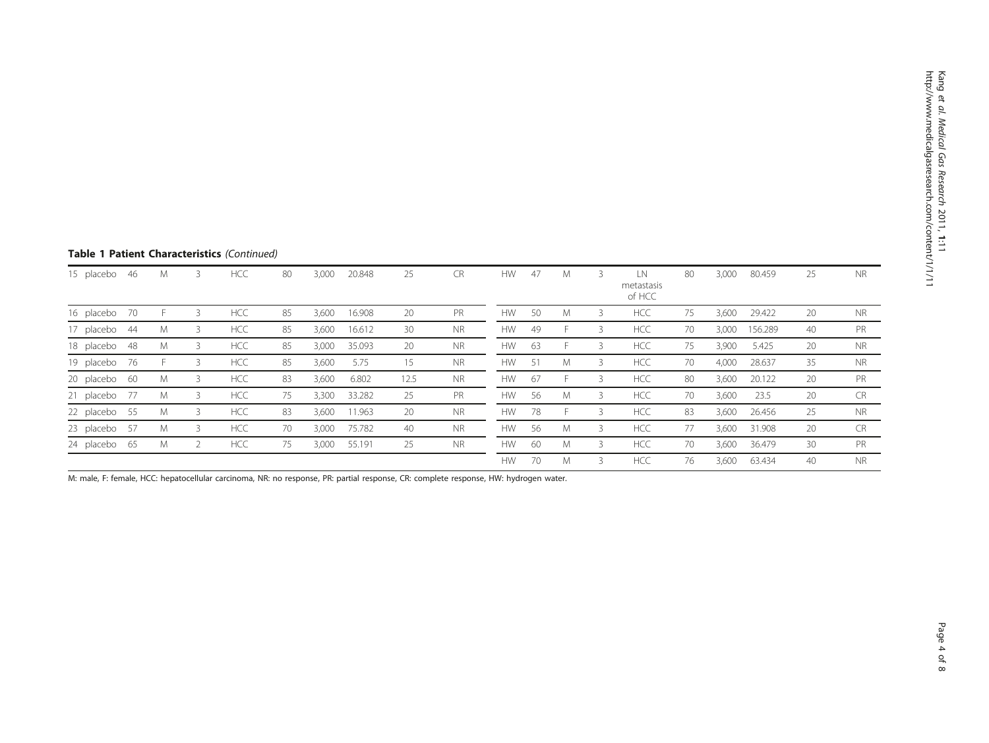| Table 1 Patient Characteristics (Continued) |  |
|---------------------------------------------|--|
|---------------------------------------------|--|

| 15 placebo    | -46 | M | 3 | <b>HCC</b> | 80 | 3,000 | 20.848 | 25   | <b>CR</b> | <b>HW</b> | 47 | M  | LN<br>metastasis<br>of HCC | 80 | 3,000 | 80.459  | 25 | <b>NR</b> |
|---------------|-----|---|---|------------|----|-------|--------|------|-----------|-----------|----|----|----------------------------|----|-------|---------|----|-----------|
| 16 placebo    | 70  |   | 3 | <b>HCC</b> | 85 | 3,600 | 16.908 | 20   | PR        | <b>HW</b> | 50 | M  | <b>HCC</b>                 | 75 | 3,600 | 29.422  | 20 | NR.       |
| 17 placebo    | 44  | М | 3 | <b>HCC</b> | 85 | 3,600 | 16.612 | 30   | <b>NR</b> | <b>HW</b> | 49 | H. | <b>HCC</b>                 | 70 | 3,000 | 156.289 | 40 | PR        |
| 18 placebo 48 |     | М | 3 | <b>HCC</b> | 85 | 3,000 | 35.093 | 20   | <b>NR</b> | <b>HW</b> | 63 |    | <b>HCC</b>                 | 75 | 3,900 | 5.425   | 20 | <b>NR</b> |
| 19 placebo 76 |     |   | 3 | <b>HCC</b> | 85 | 3,600 | 5.75   | 15   | <b>NR</b> | <b>HW</b> | 51 | M  | <b>HCC</b>                 | 70 | 4,000 | 28.637  | 35 | <b>NR</b> |
| 20 placebo 60 |     | M | 3 | <b>HCC</b> | 83 | 3,600 | 6.802  | 12.5 | <b>NR</b> | <b>HW</b> | 67 | ⊢. | <b>HCC</b>                 | 80 | 3,600 | 20.122  | 20 | PR        |
| 21 placebo    | -77 | M | 3 | <b>HCC</b> | 75 | 3,300 | 33.282 | 25   | PR        | <b>HW</b> | 56 | M  | <b>HCC</b>                 | 70 | 3,600 | 23.5    | 20 | <b>CR</b> |
| 22 placebo 55 |     | M | 3 | <b>HCC</b> | 83 | 3,600 | 11.963 | 20   | <b>NR</b> | <b>HW</b> | 78 |    | <b>HCC</b>                 | 83 | 3,600 | 26.456  | 25 | <b>NR</b> |
| 23 placebo    | -57 | M | 3 | <b>HCC</b> | 70 | 3,000 | 75.782 | 40   | <b>NR</b> | <b>HW</b> | 56 | M  | <b>HCC</b>                 | 77 | 3,600 | 31.908  | 20 | <b>CR</b> |
| 24 placebo 65 |     | М | 2 | <b>HCC</b> | 75 | 3,000 | 55.191 | 25   | <b>NR</b> | <b>HW</b> | 60 | M  | <b>HCC</b>                 | 70 | 3,600 | 36.479  | 30 | <b>PR</b> |
|               |     |   |   |            |    |       |        |      |           | <b>HW</b> | 70 | M  | <b>HCC</b>                 | 76 | 3,600 | 63.434  | 40 | <b>NR</b> |

M: male, F: female, HCC: hepatocellular carcinoma, NR: no response, PR: partial response, CR: complete response, HW: hydrogen water.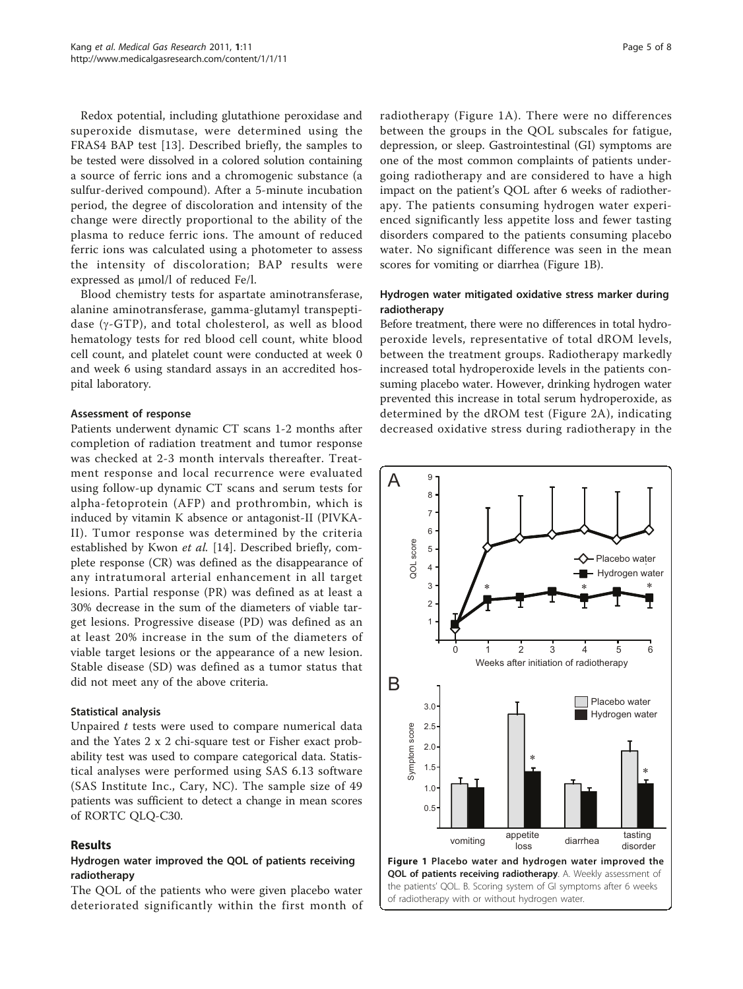Redox potential, including glutathione peroxidase and superoxide dismutase, were determined using the FRAS4 BAP test [\[13\]](#page-7-0). Described briefly, the samples to be tested were dissolved in a colored solution containing a source of ferric ions and a chromogenic substance (a sulfur-derived compound). After a 5-minute incubation period, the degree of discoloration and intensity of the change were directly proportional to the ability of the plasma to reduce ferric ions. The amount of reduced ferric ions was calculated using a photometer to assess the intensity of discoloration; BAP results were expressed as µmol/l of reduced Fe/l.

Blood chemistry tests for aspartate aminotransferase, alanine aminotransferase, gamma-glutamyl transpeptidase  $(y - GTP)$ , and total cholesterol, as well as blood hematology tests for red blood cell count, white blood cell count, and platelet count were conducted at week 0 and week 6 using standard assays in an accredited hospital laboratory.

#### Assessment of response

Patients underwent dynamic CT scans 1-2 months after completion of radiation treatment and tumor response was checked at 2-3 month intervals thereafter. Treatment response and local recurrence were evaluated using follow-up dynamic CT scans and serum tests for alpha-fetoprotein (AFP) and prothrombin, which is induced by vitamin K absence or antagonist-II (PIVKA-II). Tumor response was determined by the criteria established by Kwon et al. [[14\]](#page-7-0). Described briefly, complete response (CR) was defined as the disappearance of any intratumoral arterial enhancement in all target lesions. Partial response (PR) was defined as at least a 30% decrease in the sum of the diameters of viable target lesions. Progressive disease (PD) was defined as an at least 20% increase in the sum of the diameters of viable target lesions or the appearance of a new lesion. Stable disease (SD) was defined as a tumor status that did not meet any of the above criteria.

#### Statistical analysis

Unpaired  $t$  tests were used to compare numerical data and the Yates 2 x 2 chi-square test or Fisher exact probability test was used to compare categorical data. Statistical analyses were performed using SAS 6.13 software (SAS Institute Inc., Cary, NC). The sample size of 49 patients was sufficient to detect a change in mean scores of RORTC QLQ-C30.

## Results

## Hydrogen water improved the QOL of patients receiving radiotherapy

The QOL of the patients who were given placebo water deteriorated significantly within the first month of

radiotherapy (Figure 1A). There were no differences between the groups in the QOL subscales for fatigue, depression, or sleep. Gastrointestinal (GI) symptoms are one of the most common complaints of patients undergoing radiotherapy and are considered to have a high impact on the patient's QOL after 6 weeks of radiotherapy. The patients consuming hydrogen water experienced significantly less appetite loss and fewer tasting disorders compared to the patients consuming placebo water. No significant difference was seen in the mean scores for vomiting or diarrhea (Figure 1B).

## Hydrogen water mitigated oxidative stress marker during radiotherapy

Before treatment, there were no differences in total hydroperoxide levels, representative of total dROM levels, between the treatment groups. Radiotherapy markedly increased total hydroperoxide levels in the patients consuming placebo water. However, drinking hydrogen water prevented this increase in total serum hydroperoxide, as determined by the dROM test (Figure [2A](#page-5-0)), indicating decreased oxidative stress during radiotherapy in the

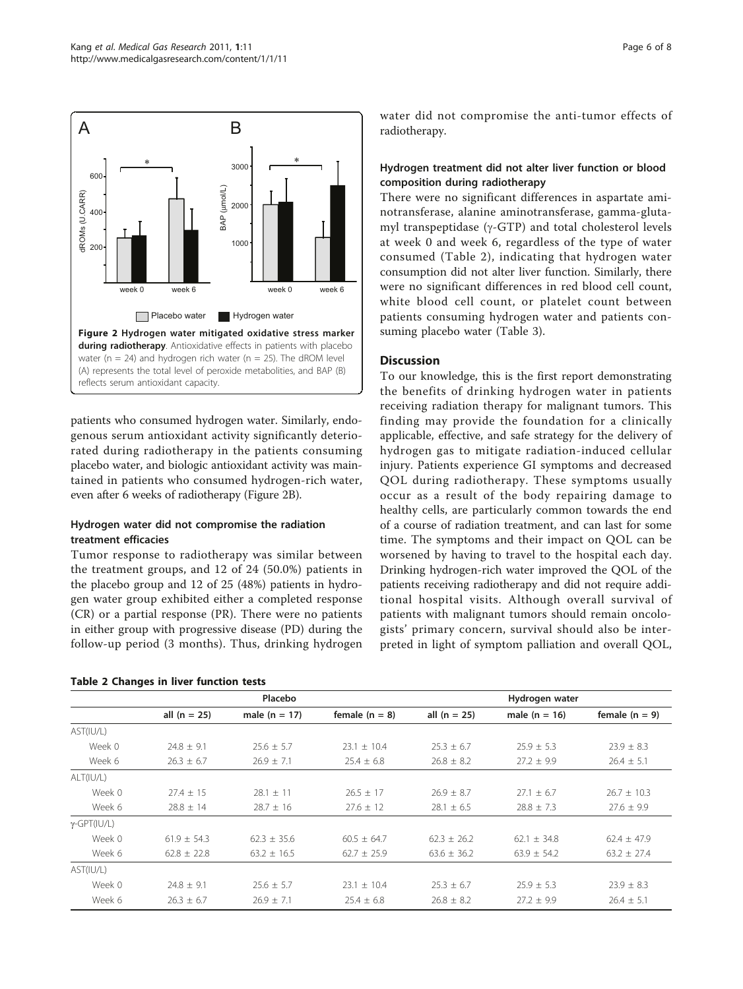<span id="page-5-0"></span>

patients who consumed hydrogen water. Similarly, endogenous serum antioxidant activity significantly deteriorated during radiotherapy in the patients consuming placebo water, and biologic antioxidant activity was maintained in patients who consumed hydrogen-rich water, even after 6 weeks of radiotherapy (Figure 2B).

## Hydrogen water did not compromise the radiation treatment efficacies

Tumor response to radiotherapy was similar between the treatment groups, and 12 of 24 (50.0%) patients in the placebo group and 12 of 25 (48%) patients in hydrogen water group exhibited either a completed response (CR) or a partial response (PR). There were no patients in either group with progressive disease (PD) during the follow-up period (3 months). Thus, drinking hydrogen

Table 2 Changes in liver function tests

water did not compromise the anti-tumor effects of radiotherapy.

## Hydrogen treatment did not alter liver function or blood composition during radiotherapy

There were no significant differences in aspartate aminotransferase, alanine aminotransferase, gamma-glutamyl transpeptidase  $(\gamma$ -GTP) and total cholesterol levels at week 0 and week 6, regardless of the type of water consumed (Table 2), indicating that hydrogen water consumption did not alter liver function. Similarly, there were no significant differences in red blood cell count, white blood cell count, or platelet count between patients consuming hydrogen water and patients consuming placebo water (Table [3\)](#page-6-0).

## **Discussion**

To our knowledge, this is the first report demonstrating the benefits of drinking hydrogen water in patients receiving radiation therapy for malignant tumors. This finding may provide the foundation for a clinically applicable, effective, and safe strategy for the delivery of hydrogen gas to mitigate radiation-induced cellular injury. Patients experience GI symptoms and decreased QOL during radiotherapy. These symptoms usually occur as a result of the body repairing damage to healthy cells, are particularly common towards the end of a course of radiation treatment, and can last for some time. The symptoms and their impact on QOL can be worsened by having to travel to the hospital each day. Drinking hydrogen-rich water improved the QOL of the patients receiving radiotherapy and did not require additional hospital visits. Although overall survival of patients with malignant tumors should remain oncologists' primary concern, survival should also be interpreted in light of symptom palliation and overall QOL,

|                     |                 | Placebo         |                  |                 | Hydrogen water  |                  |
|---------------------|-----------------|-----------------|------------------|-----------------|-----------------|------------------|
|                     | all $(n = 25)$  | male $(n = 17)$ | female $(n = 8)$ | all $(n = 25)$  | male $(n = 16)$ | female $(n = 9)$ |
| AST(IU/L)           |                 |                 |                  |                 |                 |                  |
| Week 0              | $24.8 \pm 9.1$  | $25.6 \pm 5.7$  | $23.1 \pm 10.4$  | $25.3 \pm 6.7$  | $25.9 \pm 5.3$  | $23.9 \pm 8.3$   |
| Week 6              | $26.3 \pm 6.7$  | $26.9 \pm 7.1$  | $25.4 \pm 6.8$   | $26.8 \pm 8.2$  | $27.2 \pm 9.9$  | $26.4 \pm 5.1$   |
| ALT(IU/L)           |                 |                 |                  |                 |                 |                  |
| Week 0              | $27.4 \pm 15$   | $28.1 \pm 11$   | $26.5 \pm 17$    | $26.9 \pm 8.7$  | $27.1 \pm 6.7$  | $26.7 \pm 10.3$  |
| Week 6              | $28.8 \pm 14$   | $28.7 \pm 16$   | $27.6 \pm 12$    | $28.1 \pm 6.5$  | $28.8 \pm 7.3$  | $27.6 \pm 9.9$   |
| $\gamma$ -GPT(IU/L) |                 |                 |                  |                 |                 |                  |
| Week 0              | $61.9 + 54.3$   | $62.3 + 35.6$   | $60.5 \pm 64.7$  | $62.3 + 26.2$   | $62.1 \pm 34.8$ | $62.4 \pm 47.9$  |
| Week 6              | $62.8 \pm 22.8$ | $63.2 \pm 16.5$ | $62.7 \pm 25.9$  | $63.6 \pm 36.2$ | $63.9 \pm 54.2$ | $63.2 \pm 27.4$  |
| AST(IU/L)           |                 |                 |                  |                 |                 |                  |
| Week 0              | $24.8 \pm 9.1$  | $25.6 \pm 5.7$  | $23.1 + 10.4$    | $25.3 \pm 6.7$  | $25.9 \pm 5.3$  | $23.9 \pm 8.3$   |
| Week 6              | $26.3 \pm 6.7$  | $26.9 \pm 7.1$  | $25.4 \pm 6.8$   | $26.8 \pm 8.2$  | $27.2 \pm 9.9$  | $26.4 \pm 5.1$   |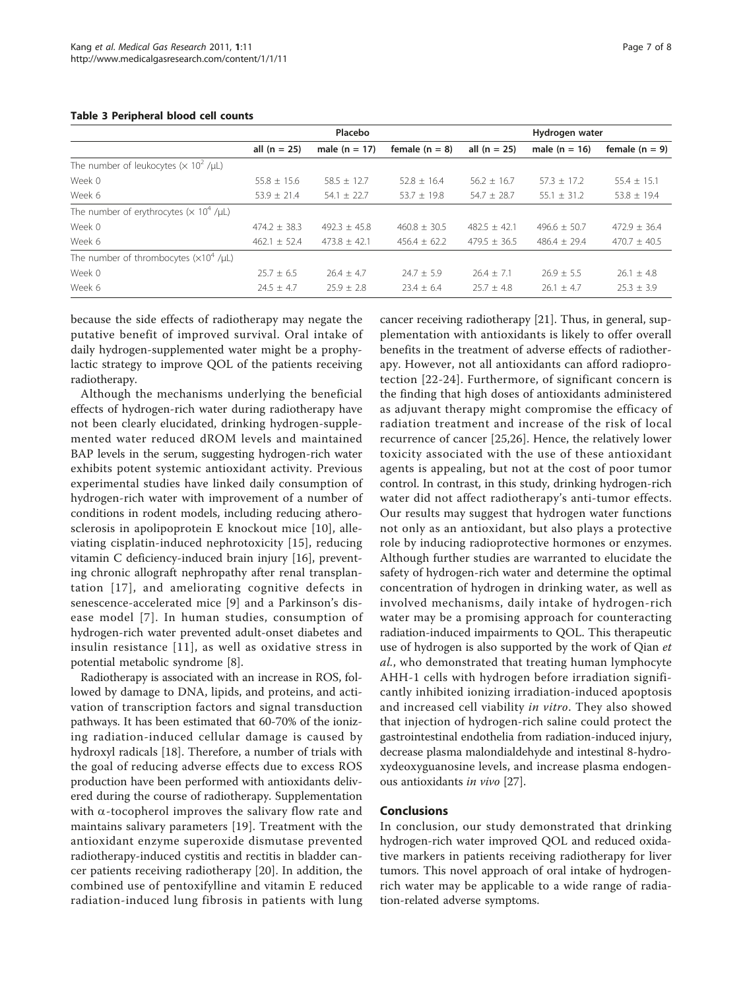|                                                            |                  | Placebo          |                  | Hydrogen water   |                  |                  |  |  |  |
|------------------------------------------------------------|------------------|------------------|------------------|------------------|------------------|------------------|--|--|--|
|                                                            | all $(n = 25)$   | male $(n = 17)$  | female $(n = 8)$ | all $(n = 25)$   | male $(n = 16)$  | female $(n = 9)$ |  |  |  |
| The number of leukocytes ( $\times$ 10 <sup>2</sup> /µL)   |                  |                  |                  |                  |                  |                  |  |  |  |
| Week 0                                                     | $55.8 \pm 15.6$  | $58.5 \pm 12.7$  | $52.8 \pm 16.4$  | $56.2 \pm 16.7$  | $57.3 \pm 17.2$  | $55.4 \pm 15.1$  |  |  |  |
| Week 6                                                     | $53.9 \pm 21.4$  | $54.1 \pm 22.7$  | $53.7 \pm 19.8$  | $54.7 \pm 28.7$  | $55.1 \pm 31.2$  | $53.8 \pm 19.4$  |  |  |  |
| The number of erythrocytes ( $\times$ 10 <sup>4</sup> /µL) |                  |                  |                  |                  |                  |                  |  |  |  |
| Week 0                                                     | $474.2 \pm 38.3$ | $492.3 \pm 45.8$ | $460.8 \pm 30.5$ | $482.5 \pm 42.1$ | $496.6 \pm 50.7$ | $472.9 \pm 36.4$ |  |  |  |
| Week 6                                                     | $462.1 \pm 52.4$ | $473.8 \pm 42.1$ | $456.4 \pm 62.2$ | $479.5 \pm 36.5$ | $486.4 + 29.4$   | $470.7 \pm 40.5$ |  |  |  |
| The number of thrombocytes $(x10^4$ / $\mu$ L)             |                  |                  |                  |                  |                  |                  |  |  |  |
| Week 0                                                     | $25.7 \pm 6.5$   | $76.4 + 4.7$     | $74.7 + 5.9$     | $76.4 + 7.1$     | $26.9 + 5.5$     | $26.1 + 4.8$     |  |  |  |
| Week 6                                                     | $24.5 \pm 4.7$   | $25.9 + 2.8$     | $23.4 + 6.4$     | $25.7 + 4.8$     | $26.1 + 4.7$     | $25.3 + 3.9$     |  |  |  |

#### <span id="page-6-0"></span>Table 3 Peripheral blood cell counts

because the side effects of radiotherapy may negate the putative benefit of improved survival. Oral intake of daily hydrogen-supplemented water might be a prophylactic strategy to improve QOL of the patients receiving radiotherapy.

Although the mechanisms underlying the beneficial effects of hydrogen-rich water during radiotherapy have not been clearly elucidated, drinking hydrogen-supplemented water reduced dROM levels and maintained BAP levels in the serum, suggesting hydrogen-rich water exhibits potent systemic antioxidant activity. Previous experimental studies have linked daily consumption of hydrogen-rich water with improvement of a number of conditions in rodent models, including reducing atherosclerosis in apolipoprotein E knockout mice [[10](#page-7-0)], alleviating cisplatin-induced nephrotoxicity [[15](#page-7-0)], reducing vitamin C deficiency-induced brain injury [\[16](#page-7-0)], preventing chronic allograft nephropathy after renal transplantation [[17](#page-7-0)], and ameliorating cognitive defects in senescence-accelerated mice [\[9](#page-7-0)] and a Parkinson's disease model [[7\]](#page-7-0). In human studies, consumption of hydrogen-rich water prevented adult-onset diabetes and insulin resistance [[11\]](#page-7-0), as well as oxidative stress in potential metabolic syndrome [\[8\]](#page-7-0).

Radiotherapy is associated with an increase in ROS, followed by damage to DNA, lipids, and proteins, and activation of transcription factors and signal transduction pathways. It has been estimated that 60-70% of the ionizing radiation-induced cellular damage is caused by hydroxyl radicals [\[18](#page-7-0)]. Therefore, a number of trials with the goal of reducing adverse effects due to excess ROS production have been performed with antioxidants delivered during the course of radiotherapy. Supplementation with  $\alpha$ -tocopherol improves the salivary flow rate and maintains salivary parameters [[19](#page-7-0)]. Treatment with the antioxidant enzyme superoxide dismutase prevented radiotherapy-induced cystitis and rectitis in bladder cancer patients receiving radiotherapy [[20\]](#page-7-0). In addition, the combined use of pentoxifylline and vitamin E reduced radiation-induced lung fibrosis in patients with lung

cancer receiving radiotherapy [\[21](#page-7-0)]. Thus, in general, supplementation with antioxidants is likely to offer overall benefits in the treatment of adverse effects of radiotherapy. However, not all antioxidants can afford radioprotection [[22-24\]](#page-7-0). Furthermore, of significant concern is the finding that high doses of antioxidants administered as adjuvant therapy might compromise the efficacy of radiation treatment and increase of the risk of local recurrence of cancer [[25,26](#page-7-0)]. Hence, the relatively lower toxicity associated with the use of these antioxidant agents is appealing, but not at the cost of poor tumor control. In contrast, in this study, drinking hydrogen-rich water did not affect radiotherapy's anti-tumor effects. Our results may suggest that hydrogen water functions not only as an antioxidant, but also plays a protective role by inducing radioprotective hormones or enzymes. Although further studies are warranted to elucidate the safety of hydrogen-rich water and determine the optimal concentration of hydrogen in drinking water, as well as involved mechanisms, daily intake of hydrogen-rich water may be a promising approach for counteracting radiation-induced impairments to QOL. This therapeutic use of hydrogen is also supported by the work of Qian et al., who demonstrated that treating human lymphocyte AHH-1 cells with hydrogen before irradiation significantly inhibited ionizing irradiation-induced apoptosis and increased cell viability in vitro. They also showed that injection of hydrogen-rich saline could protect the gastrointestinal endothelia from radiation-induced injury, decrease plasma malondialdehyde and intestinal 8-hydroxydeoxyguanosine levels, and increase plasma endogenous antioxidants in vivo [[27\]](#page-7-0).

#### Conclusions

In conclusion, our study demonstrated that drinking hydrogen-rich water improved QOL and reduced oxidative markers in patients receiving radiotherapy for liver tumors. This novel approach of oral intake of hydrogenrich water may be applicable to a wide range of radiation-related adverse symptoms.